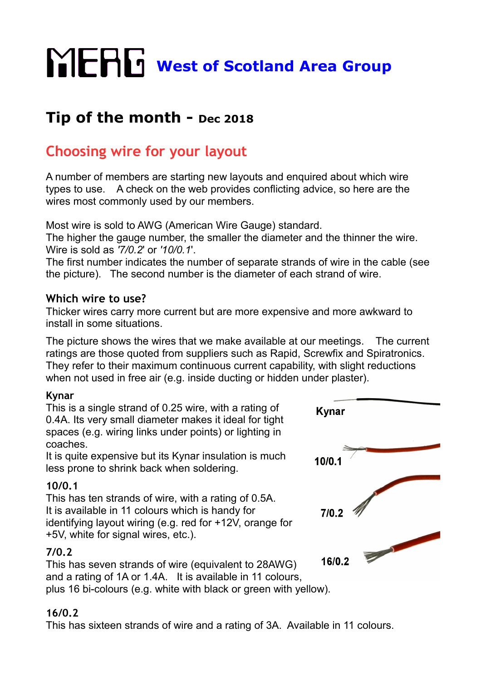## **WERG** West of Scotland Area Group

## **Tip of the month - Dec 2018**

## **Choosing wire for your layout**

A number of members are starting new layouts and enquired about which wire types to use. A check on the web provides conflicting advice, so here are the wires most commonly used by our members.

Most wire is sold to AWG (American Wire Gauge) standard.

The higher the gauge number, the smaller the diameter and the thinner the wire. Wire is sold as *'7/0.2*' or *'10/0.1*'.

The first number indicates the number of separate strands of wire in the cable (see the picture). The second number is the diameter of each strand of wire.

### **Which wire to use?**

Thicker wires carry more current but are more expensive and more awkward to install in some situations.

The picture shows the wires that we make available at our meetings. The current ratings are those quoted from suppliers such as Rapid, Screwfix and Spiratronics. They refer to their maximum continuous current capability, with slight reductions when not used in free air (e.g. inside ducting or hidden under plaster).

## **Kynar**

This is a single strand of 0.25 wire, with a rating of 0.4A. Its very small diameter makes it ideal for tight spaces (e.g. wiring links under points) or lighting in coaches.

It is quite expensive but its Kynar insulation is much less prone to shrink back when soldering.

## **10/0.1**

This has ten strands of wire, with a rating of 0.5A. It is available in 11 colours which is handy for identifying layout wiring (e.g. red for +12V, orange for +5V, white for signal wires, etc.).

## **7/0.2**

This has seven strands of wire (equivalent to 28AWG) and a rating of 1A or 1.4A. It is available in 11 colours, plus 16 bi-colours (e.g. white with black or green with yellow).

# **Kynar**  $10/0.1$  $7/0.2$ 16/0.2

## **16/0.2**

This has sixteen strands of wire and a rating of 3A. Available in 11 colours.